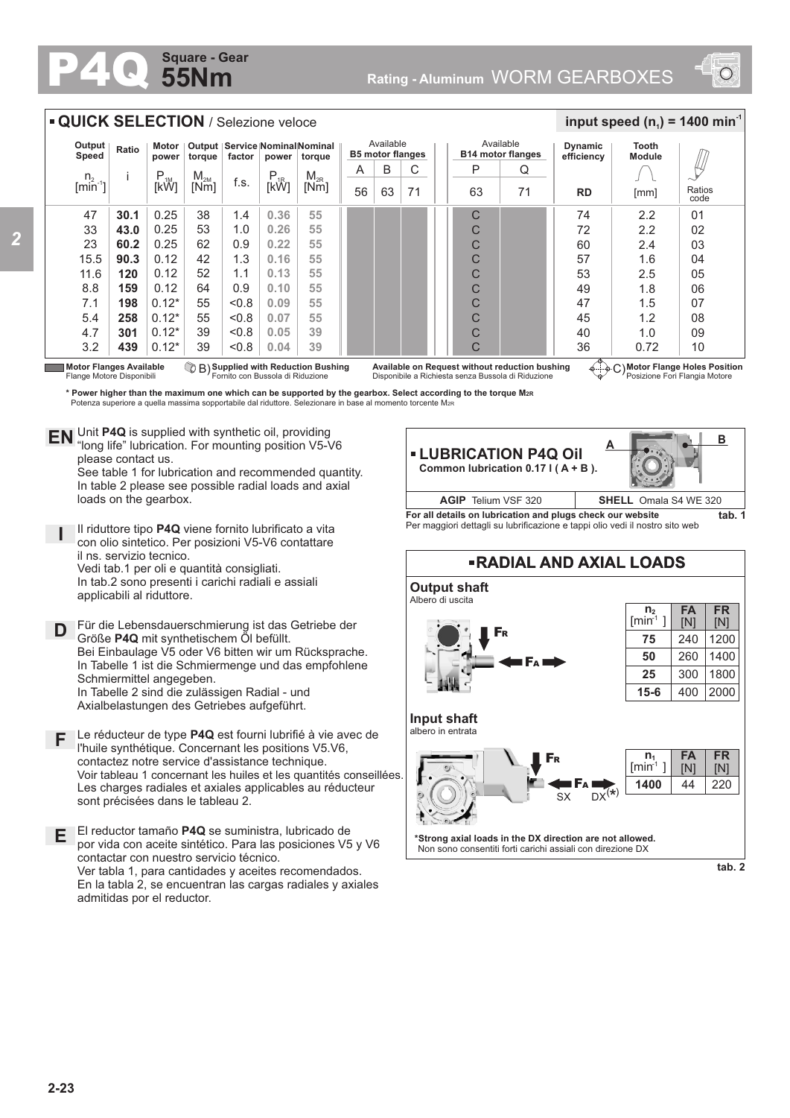## **55Nm Square - Gear**



| Output<br>Speed                | Ratio                                           | Motor<br>power                                                                  | torque           | factor                           | power            | Output   Service Nominal Nominal<br>torque                                                                                                                                                                 |    | Available<br><b>B5 motor flanges</b> |    |                                                                                                                                                                                                     | Available<br><b>B14 motor flanges</b>          | <b>Dynamic</b><br>efficiency                                                                                                               | <b>Tooth</b><br><b>Module</b>                                   |                                      |
|--------------------------------|-------------------------------------------------|---------------------------------------------------------------------------------|------------------|----------------------------------|------------------|------------------------------------------------------------------------------------------------------------------------------------------------------------------------------------------------------------|----|--------------------------------------|----|-----------------------------------------------------------------------------------------------------------------------------------------------------------------------------------------------------|------------------------------------------------|--------------------------------------------------------------------------------------------------------------------------------------------|-----------------------------------------------------------------|--------------------------------------|
|                                | Ť                                               | P                                                                               |                  |                                  |                  | $\mathsf{M}_{\mathsf{2R}}$                                                                                                                                                                                 | A  | B                                    | С  | P                                                                                                                                                                                                   | Q                                              |                                                                                                                                            |                                                                 |                                      |
| $n_{2}$<br>$[min^{-1}]$        |                                                 | $\overline{k}^M$                                                                | $M_{2M}$<br>[Nm] | f.s.                             | $P_{1R}$<br>[kŴ] | [Nm]                                                                                                                                                                                                       | 56 | 63                                   | 71 | 63                                                                                                                                                                                                  | 71                                             | <b>RD</b>                                                                                                                                  | [mm]                                                            | Ratios<br>code                       |
| 47                             | 30.1                                            | 0.25                                                                            | 38               | 1.4                              | 0.36             | 55                                                                                                                                                                                                         |    |                                      |    | C                                                                                                                                                                                                   |                                                | 74                                                                                                                                         | 2.2                                                             | 01                                   |
| 33                             | 43.0                                            | 0.25                                                                            | 53               | 1.0                              | 0.26             | 55                                                                                                                                                                                                         |    |                                      |    | C                                                                                                                                                                                                   |                                                | 72                                                                                                                                         | 2.2                                                             | 02                                   |
| 23                             | 60.2                                            | 0.25                                                                            | 62               | 0.9                              | 0.22             | 55                                                                                                                                                                                                         |    |                                      |    | C                                                                                                                                                                                                   |                                                | 60                                                                                                                                         | 2.4                                                             | 03                                   |
| 15.5                           | 90.3                                            | 0.12                                                                            | 42               | 1.3                              | 0.16             | 55                                                                                                                                                                                                         |    |                                      |    | C                                                                                                                                                                                                   |                                                | 57                                                                                                                                         | 1.6                                                             | 04                                   |
| 11.6                           | 120                                             | 0.12                                                                            | 52               | 1.1                              | 0.13             | 55                                                                                                                                                                                                         |    |                                      |    | C                                                                                                                                                                                                   |                                                | 53                                                                                                                                         | 2.5                                                             | 05                                   |
| 8.8                            | 159                                             | 0.12                                                                            | 64               | 0.9                              | 0.10             | 55                                                                                                                                                                                                         |    |                                      |    | C                                                                                                                                                                                                   |                                                | 49                                                                                                                                         | 1.8                                                             | 06                                   |
| 7.1                            | 198                                             | $0.12*$                                                                         | 55               | < 0.8                            | 0.09             | 55                                                                                                                                                                                                         |    |                                      |    | C                                                                                                                                                                                                   |                                                | 47                                                                                                                                         | 1.5                                                             | 07                                   |
| 5.4                            | 258                                             | $0.12*$                                                                         | 55               | < 0.8                            | 0.07             | 55                                                                                                                                                                                                         |    |                                      |    | C                                                                                                                                                                                                   |                                                | 45                                                                                                                                         | 1.2                                                             | 08                                   |
| 4.7                            | 301                                             | $0.12*$                                                                         | 39               | < 0.8                            | 0.05             | 39                                                                                                                                                                                                         |    |                                      |    | C                                                                                                                                                                                                   |                                                | 40                                                                                                                                         | 1.0                                                             | 09                                   |
| 3.2                            | 439                                             | $0.12*$                                                                         | 39               | &0.8                             | 0.04             | 39                                                                                                                                                                                                         |    |                                      |    | C                                                                                                                                                                                                   |                                                | 36                                                                                                                                         | 0.72                                                            | 10                                   |
|                                | Flange Motore Disponibili<br>please contact us. | EN Unit P4Q is supplied with synthetic oil, providing                           |                  | Fornito con Bussola di Riduzione |                  | C B) Supplied with Reduction Bushing<br>Potenza superiore a quella massima sopportabile dal riduttore. Selezionare in base al momento torcente M2R<br>"long life" lubrication. For mounting position V5-V6 |    |                                      |    | Disponibile a Richiesta senza Bussola di Riduzione<br>* Power higher than the maximum one which can be supported by the gearbox. Select according to the torque Mzr<br><b>- LUBRICATION P4Q Oil</b> | Available on Request without reduction bushing |                                                                                                                                            | C) Motor Flange Holes Position<br>Posizione Fori Flangia Motore |                                      |
| <b>Motor Flanges Available</b> |                                                 |                                                                                 |                  |                                  |                  | See table 1 for lubrication and recommended quantity.<br>In table 2 please see possible radial loads and axial                                                                                             |    |                                      |    | Common lubrication $0.17$ I (A + B).                                                                                                                                                                |                                                |                                                                                                                                            |                                                                 |                                      |
|                                |                                                 | loads on the gearbox.                                                           |                  |                                  |                  |                                                                                                                                                                                                            |    |                                      |    | AGIP Telium VSF 320                                                                                                                                                                                 |                                                |                                                                                                                                            | <b>SHELL</b> Omala S4 WE 320                                    |                                      |
|                                |                                                 |                                                                                 |                  |                                  |                  | Il riduttore tipo P4Q viene fornito lubrificato a vita<br>con olio sintetico. Per posizioni V5-V6 contattare                                                                                               |    |                                      |    |                                                                                                                                                                                                     |                                                | For all details on lubrication and plugs check our website<br>Per maggiori dettagli su lubrificazione e tappi olio vedi il nostro sito web |                                                                 |                                      |
|                                |                                                 | il ns. servizio tecnico.<br>Vedi tab.1 per oli e quantità consigliati.          |                  |                                  |                  |                                                                                                                                                                                                            |    |                                      |    |                                                                                                                                                                                                     |                                                | <b>-RADIAL AND AXIAL LOADS</b>                                                                                                             |                                                                 |                                      |
|                                |                                                 | In tab.2 sono presenti i carichi radiali e assiali<br>applicabili al riduttore. |                  |                                  |                  |                                                                                                                                                                                                            |    |                                      |    | <b>Output shaft</b><br>Albero di uscita                                                                                                                                                             |                                                |                                                                                                                                            |                                                                 |                                      |
|                                |                                                 |                                                                                 |                  |                                  |                  | Für die Lebensdauerschmierung ist das Getriebe der                                                                                                                                                         |    |                                      |    |                                                                                                                                                                                                     |                                                |                                                                                                                                            | n <sub>2</sub><br>$[min-1]$                                     | <b>FA</b><br><b>FR</b><br>[N]<br>[N] |
|                                |                                                 | Größe P4Q mit synthetischem Öl befüllt.                                         |                  |                                  |                  |                                                                                                                                                                                                            |    |                                      |    |                                                                                                                                                                                                     |                                                |                                                                                                                                            | 75                                                              | 240<br>1200                          |
|                                |                                                 |                                                                                 |                  |                                  |                  | Bei Einbaulage V5 oder V6 bitten wir um Rücksprache.                                                                                                                                                       |    |                                      |    |                                                                                                                                                                                                     |                                                |                                                                                                                                            | 50                                                              | 1400<br>260                          |
|                                |                                                 | Schmiermittel angegeben.                                                        |                  |                                  |                  | In Tabelle 1 ist die Schmiermenge und das empfohlene                                                                                                                                                       |    |                                      |    |                                                                                                                                                                                                     |                                                |                                                                                                                                            | 25                                                              | 1800<br>300                          |

- **F** Le réducteur de type **P4Q** est fourni lubrifié à vie avec de l'huile synthétique. Concernant les positions V5.V6, contactez notre service d'assistance technique. Voir tableau 1 concernant les huiles et les quantités conseillées. Les charges radiales et axiales applicables au réducteur sont précisées dans le tableau 2.
- **E** El reductor tamaño **P4Q** se suministra, lubricado de por vida con aceite sintético. Para las posiciones V5 y V6 contactar con nuestro servicio técnico. Ver tabla 1, para cantidades y aceites recomendados. En la tabla 2, se encuentran las cargas radiales y axiales admitidas por el reductor.

**\*Strong axial loads in the DX direction are not allowed.** Non sono consentiti forti carichi assiali con direzione DX

F<sup>R</sup>

 $S_X$  DX<sup>(\*)</sup>

F<sup>A</sup>

**tab. 2**

220

**FR** [N]

**FA** [N] 44

**n** [min ] **1** -1 **1400**